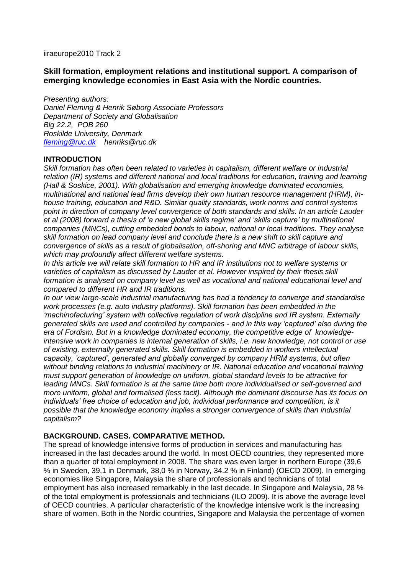### iiraeurope2010 Track 2

## **Skill formation, employment relations and institutional support. A comparison of emerging knowledge economies in East Asia with the Nordic countries.**

*Presenting authors: Daniel Fleming & Henrik Søborg Associate Professors Department of Society and Globalisation Blg 22.2, POB 260 Roskilde University, Denmark [fleming@ruc.dk](mailto:fleming@ruc.dk) henriks@ruc.dk*

### **INTRODUCTION**

*Skill formation has often been related to varieties in capitalism, different welfare or industrial relation (IR) systems and different national and local traditions for education, training and learning (Hall & Soskice, 2001). With globalisation and emerging knowledge dominated economies, multinational and national lead firms develop their own human resource management (HRM), inhouse training, education and R&D. Similar quality standards, work norms and control systems point in direction of company level convergence of both standards and skills. In an article Lauder et al (2008) forward a thesis of 'a new global skills regime' and 'skills capture' by multinational companies (MNCs), cutting embedded bonds to labour, national or local traditions. They analyse skill formation on lead company level and conclude there is a new shift to skill capture and convergence of skills as a result of globalisation, off-shoring and MNC arbitrage of labour skills, which may profoundly affect different welfare systems.* 

*In this article we will relate skill formation to HR and IR institutions not to welfare systems or varieties of capitalism as discussed by Lauder et al. However inspired by their thesis skill formation is analysed on company level as well as vocational and national educational level and compared to different HR and IR traditions.* 

*In our view large-scale industrial manufacturing has had a tendency to converge and standardise work processes (e.g. auto industry platforms). Skill formation has been embedded in the 'machinofacturing' system with collective regulation of work discipline and IR system. Externally generated skills are used and controlled by companies - and in this way 'captured' also during the era of Fordism. But in a knowledge dominated economy, the competitive edge of knowledgeintensive work in companies is internal generation of skills, i.e. new knowledge, not control or use of existing, externally generated skills. Skill formation is embedded in workers intellectual capacity, 'captured', generated and globally converged by company HRM systems, but often without binding relations to industrial machinery or IR. National education and vocational training must support generation of knowledge on uniform, global standard levels to be attractive for leading MNCs. Skill formation is at the same time both more individualised or self-governed and more uniform, global and formalised (less tacit). Although the dominant discourse has its focus on*  individuals' free choice of education and job, individual performance and competition, is it *possible that the knowledge economy implies a stronger convergence of skills than industrial capitalism?*

## **BACKGROUND. CASES. COMPARATIVE METHOD.**

The spread of knowledge intensive forms of production in services and manufacturing has increased in the last decades around the world. In most OECD countries, they represented more than a quarter of total employment in 2008. The share was even larger in northern Europe (39,6 % in Sweden, 39,1 in Denmark, 38,0 % in Norway, 34.2 % in Finland) (OECD 2009). In emerging economies like Singapore, Malaysia the share of professionals and technicians of total employment has also increased remarkably in the last decade. In Singapore and Malaysia, 28 % of the total employment is professionals and technicians (ILO 2009). It is above the average level of OECD countries. A particular characteristic of the knowledge intensive work is the increasing share of women. Both in the Nordic countries, Singapore and Malaysia the percentage of women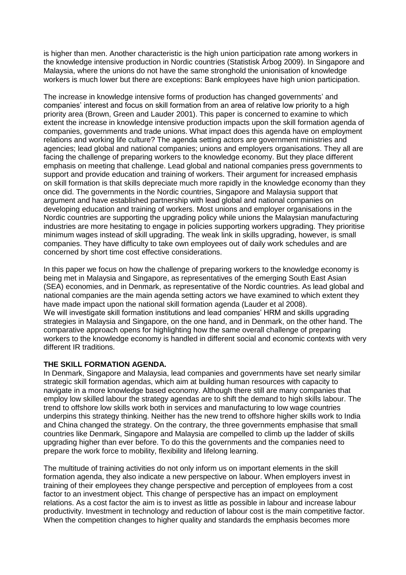is higher than men. Another characteristic is the high union participation rate among workers in the knowledge intensive production in Nordic countries (Statistisk Årbog 2009). In Singapore and Malaysia, where the unions do not have the same stronghold the unionisation of knowledge workers is much lower but there are exceptions: Bank employees have high union participation.

The increase in knowledge intensive forms of production has changed governments" and companies" interest and focus on skill formation from an area of relative low priority to a high priority area (Brown, Green and Lauder 2001). This paper is concerned to examine to which extent the increase in knowledge intensive production impacts upon the skill formation agenda of companies, governments and trade unions. What impact does this agenda have on employment relations and working life culture? The agenda setting actors are government ministries and agencies; lead global and national companies; unions and employers organisations. They all are facing the challenge of preparing workers to the knowledge economy. But they place different emphasis on meeting that challenge. Lead global and national companies press governments to support and provide education and training of workers. Their argument for increased emphasis on skill formation is that skills depreciate much more rapidly in the knowledge economy than they once did. The governments in the Nordic countries, Singapore and Malaysia support that argument and have established partnership with lead global and national companies on developing education and training of workers. Most unions and employer organisations in the Nordic countries are supporting the upgrading policy while unions the Malaysian manufacturing industries are more hesitating to engage in policies supporting workers upgrading. They prioritise minimum wages instead of skill upgrading. The weak link in skills upgrading, however, is small companies. They have difficulty to take own employees out of daily work schedules and are concerned by short time cost effective considerations.

In this paper we focus on how the challenge of preparing workers to the knowledge economy is being met in Malaysia and Singapore, as representatives of the emerging South East Asian (SEA) economies, and in Denmark, as representative of the Nordic countries. As lead global and national companies are the main agenda setting actors we have examined to which extent they have made impact upon the national skill formation agenda (Lauder et al 2008). We will investigate skill formation institutions and lead companies' HRM and skills upgrading strategies in Malaysia and Singapore, on the one hand, and in Denmark, on the other hand. The comparative approach opens for highlighting how the same overall challenge of preparing workers to the knowledge economy is handled in different social and economic contexts with very different IR traditions.

# **THE SKILL FORMATION AGENDA.**

In Denmark, Singapore and Malaysia, lead companies and governments have set nearly similar strategic skill formation agendas, which aim at building human resources with capacity to navigate in a more knowledge based economy. Although there still are many companies that employ low skilled labour the strategy agendas are to shift the demand to high skills labour. The trend to offshore low skills work both in services and manufacturing to low wage countries underpins this strategy thinking. Neither has the new trend to offshore higher skills work to India and China changed the strategy. On the contrary, the three governments emphasise that small countries like Denmark, Singapore and Malaysia are compelled to climb up the ladder of skills upgrading higher than ever before. To do this the governments and the companies need to prepare the work force to mobility, flexibility and lifelong learning.

The multitude of training activities do not only inform us on important elements in the skill formation agenda, they also indicate a new perspective on labour. When employers invest in training of their employees they change perspective and perception of employees from a cost factor to an investment object. This change of perspective has an impact on employment relations. As a cost factor the aim is to invest as little as possible in labour and increase labour productivity. Investment in technology and reduction of labour cost is the main competitive factor. When the competition changes to higher quality and standards the emphasis becomes more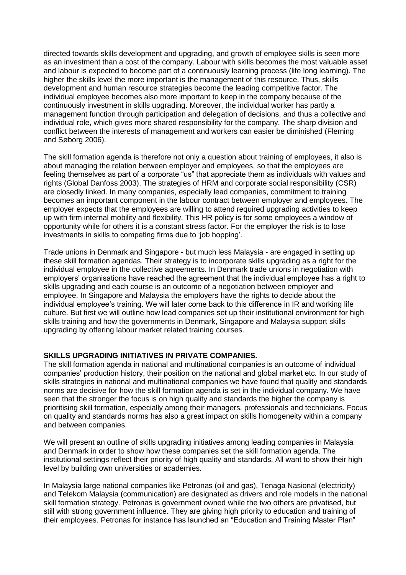directed towards skills development and upgrading, and growth of employee skills is seen more as an investment than a cost of the company. Labour with skills becomes the most valuable asset and labour is expected to become part of a continuously learning process (life long learning). The higher the skills level the more important is the management of this resource. Thus, skills development and human resource strategies become the leading competitive factor. The individual employee becomes also more important to keep in the company because of the continuously investment in skills upgrading. Moreover, the individual worker has partly a management function through participation and delegation of decisions, and thus a collective and individual role, which gives more shared responsibility for the company. The sharp division and conflict between the interests of management and workers can easier be diminished (Fleming and Søborg 2006).

The skill formation agenda is therefore not only a question about training of employees, it also is about managing the relation between employer and employees, so that the employees are feeling themselves as part of a corporate "us" that appreciate them as individuals with values and rights (Global Danfoss 2003). The strategies of HRM and corporate social responsibility (CSR) are closedly linked. In many companies, especially lead companies, commitment to training becomes an important component in the labour contract between employer and employees. The employer expects that the employees are willing to attend required upgrading activities to keep up with firm internal mobility and flexibility. This HR policy is for some employees a window of opportunity while for others it is a constant stress factor. For the employer the risk is to lose investments in skills to competing firms due to "job hopping".

Trade unions in Denmark and Singapore - but much less Malaysia - are engaged in setting up these skill formation agendas. Their strategy is to incorporate skills upgrading as a right for the individual employee in the collective agreements. In Denmark trade unions in negotiation with employers" organisations have reached the agreement that the individual employee has a right to skills upgrading and each course is an outcome of a negotiation between employer and employee. In Singapore and Malaysia the employers have the rights to decide about the individual employee's training. We will later come back to this difference in IR and working life culture. But first we will outline how lead companies set up their institutional environment for high skills training and how the governments in Denmark, Singapore and Malaysia support skills upgrading by offering labour market related training courses.

## **SKILLS UPGRADING INITIATIVES IN PRIVATE COMPANIES.**

The skill formation agenda in national and multinational companies is an outcome of individual companies" production history, their position on the national and global market etc. In our study of skills strategies in national and multinational companies we have found that quality and standards norms are decisive for how the skill formation agenda is set in the individual company. We have seen that the stronger the focus is on high quality and standards the higher the company is prioritising skill formation, especially among their managers, professionals and technicians. Focus on quality and standards norms has also a great impact on skills homogeneity within a company and between companies.

We will present an outline of skills upgrading initiatives among leading companies in Malaysia and Denmark in order to show how these companies set the skill formation agenda. The institutional settings reflect their priority of high quality and standards. All want to show their high level by building own universities or academies.

In Malaysia large national companies like Petronas (oil and gas), Tenaga Nasional (electricity) and Telekom Malaysia (communication) are designated as drivers and role models in the national skill formation strategy. Petronas is government owned while the two others are privatised, but still with strong government influence. They are giving high priority to education and training of their employees. Petronas for instance has launched an "Education and Training Master Plan"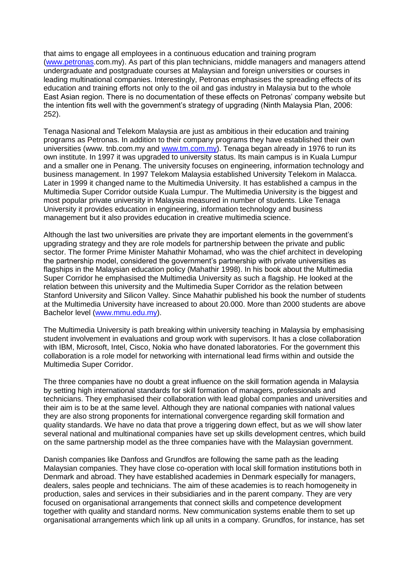that aims to engage all employees in a continuous education and training program [\(www.petronas.](http://www.petronas/)com.my). As part of this plan technicians, middle managers and managers attend undergraduate and postgraduate courses at Malaysian and foreign universities or courses in leading multinational companies. Interestingly, Petronas emphasises the spreading effects of its education and training efforts not only to the oil and gas industry in Malaysia but to the whole East Asian region. There is no documentation of these effects on Petronas" company website but the intention fits well with the government's strategy of upgrading (Ninth Malaysia Plan, 2006: 252).

Tenaga Nasional and Telekom Malaysia are just as ambitious in their education and training programs as Petronas. In addition to their company programs they have established their own universities (www. tnb.com.my and [www.tm.com.my\)](http://www.tm.com.my/). Tenaga began already in 1976 to run its own institute. In 1997 it was upgraded to university status. Its main campus is in Kuala Lumpur and a smaller one in Penang. The university focuses on engineering, information technology and business management. In 1997 Telekom Malaysia established University Telekom in Malacca. Later in 1999 it changed name to the Multimedia University. It has established a campus in the Multimedia Super Corridor outside Kuala Lumpur. The Multimedia University is the biggest and most popular private university in Malaysia measured in number of students. Like Tenaga University it provides education in engineering, information technology and business management but it also provides education in creative multimedia science.

Although the last two universities are private they are important elements in the government"s upgrading strategy and they are role models for partnership between the private and public sector. The former Prime Minister Mahathir Mohamad, who was the chief architect in developing the partnership model, considered the government"s partnership with private universities as flagships in the Malaysian education policy (Mahathir 1998). In his book about the Multimedia Super Corridor he emphasised the Multimedia University as such a flagship. He looked at the relation between this university and the Multimedia Super Corridor as the relation between Stanford University and Silicon Valley. Since Mahathir published his book the number of students at the Multimedia University have increased to about 20.000. More than 2000 students are above Bachelor level [\(www.mmu.edu.my\)](http://www.mmu.edu.my/).

The Multimedia University is path breaking within university teaching in Malaysia by emphasising student involvement in evaluations and group work with supervisors. It has a close collaboration with IBM, Microsoft, Intel, Cisco, Nokia who have donated laboratories. For the government this collaboration is a role model for networking with international lead firms within and outside the Multimedia Super Corridor.

The three companies have no doubt a great influence on the skill formation agenda in Malaysia by setting high international standards for skill formation of managers, professionals and technicians. They emphasised their collaboration with lead global companies and universities and their aim is to be at the same level. Although they are national companies with national values they are also strong proponents for international convergence regarding skill formation and quality standards. We have no data that prove a triggering down effect, but as we will show later several national and multinational companies have set up skills development centres, which build on the same partnership model as the three companies have with the Malaysian government.

Danish companies like Danfoss and Grundfos are following the same path as the leading Malaysian companies. They have close co-operation with local skill formation institutions both in Denmark and abroad. They have established academies in Denmark especially for managers, dealers, sales people and technicians. The aim of these academies is to reach homogeneity in production, sales and services in their subsidiaries and in the parent company. They are very focused on organisational arrangements that connect skills and competence development together with quality and standard norms. New communication systems enable them to set up organisational arrangements which link up all units in a company. Grundfos, for instance, has set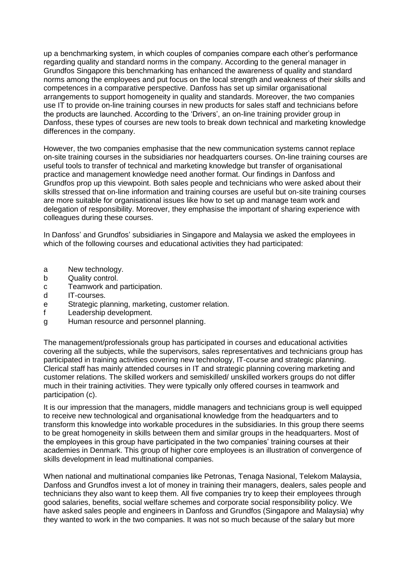up a benchmarking system, in which couples of companies compare each other"s performance regarding quality and standard norms in the company. According to the general manager in Grundfos Singapore this benchmarking has enhanced the awareness of quality and standard norms among the employees and put focus on the local strength and weakness of their skills and competences in a comparative perspective. Danfoss has set up similar organisational arrangements to support homogeneity in quality and standards. Moreover, the two companies use IT to provide on-line training courses in new products for sales staff and technicians before the products are launched. According to the 'Drivers', an on-line training provider group in Danfoss, these types of courses are new tools to break down technical and marketing knowledge differences in the company.

However, the two companies emphasise that the new communication systems cannot replace on-site training courses in the subsidiaries nor headquarters courses. On-line training courses are useful tools to transfer of technical and marketing knowledge but transfer of organisational practice and management knowledge need another format. Our findings in Danfoss and Grundfos prop up this viewpoint. Both sales people and technicians who were asked about their skills stressed that on-line information and training courses are useful but on-site training courses are more suitable for organisational issues like how to set up and manage team work and delegation of responsibility. Moreover, they emphasise the important of sharing experience with colleagues during these courses.

In Danfoss' and Grundfos' subsidiaries in Singapore and Malaysia we asked the employees in which of the following courses and educational activities they had participated:

- a New technology.
- b Quality control.
- c Teamwork and participation.
- d IT-courses.
- e Strategic planning, marketing, customer relation.
- f Leadership development.
- g Human resource and personnel planning.

The management/professionals group has participated in courses and educational activities covering all the subjects, while the supervisors, sales representatives and technicians group has participated in training activities covering new technology, IT-course and strategic planning. Clerical staff has mainly attended courses in IT and strategic planning covering marketing and customer relations. The skilled workers and semiskilled/ unskilled workers groups do not differ much in their training activities. They were typically only offered courses in teamwork and participation (c).

It is our impression that the managers, middle managers and technicians group is well equipped to receive new technological and organisational knowledge from the headquarters and to transform this knowledge into workable procedures in the subsidiaries. In this group there seems to be great homogeneity in skills between them and similar groups in the headquarters. Most of the employees in this group have participated in the two companies' training courses at their academies in Denmark. This group of higher core employees is an illustration of convergence of skills development in lead multinational companies.

When national and multinational companies like Petronas, Tenaga Nasional, Telekom Malaysia, Danfoss and Grundfos invest a lot of money in training their managers, dealers, sales people and technicians they also want to keep them. All five companies try to keep their employees through good salaries, benefits, social welfare schemes and corporate social responsibility policy. We have asked sales people and engineers in Danfoss and Grundfos (Singapore and Malaysia) why they wanted to work in the two companies. It was not so much because of the salary but more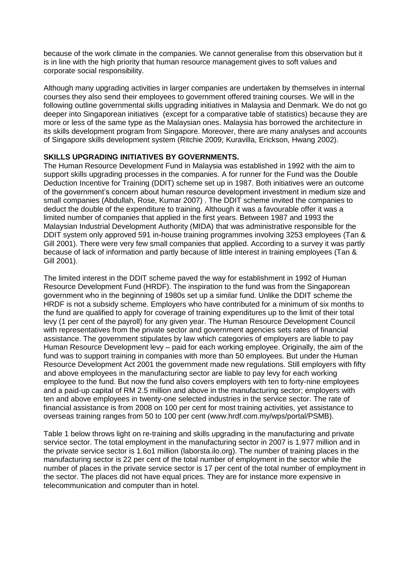because of the work climate in the companies. We cannot generalise from this observation but it is in line with the high priority that human resource management gives to soft values and corporate social responsibility.

Although many upgrading activities in larger companies are undertaken by themselves in internal courses they also send their employees to government offered training courses. We will in the following outline governmental skills upgrading initiatives in Malaysia and Denmark. We do not go deeper into Singaporean initiatives (except for a comparative table of statistics) because they are more or less of the same type as the Malaysian ones. Malaysia has borrowed the architecture in its skills development program from Singapore. Moreover, there are many analyses and accounts of Singapore skills development system (Ritchie 2009; Kuravilla, Erickson, Hwang 2002).

## **SKILLS UPGRADING INITIATIVES BY GOVERNMENTS.**

The Human Resource Development Fund in Malaysia was established in 1992 with the aim to support skills upgrading processes in the companies. A for runner for the Fund was the Double Deduction Incentive for Training (DDIT) scheme set up in 1987. Both initiatives were an outcome of the government"s concern about human resource development investment in medium size and small companies (Abdullah, Rose, Kumar 2007) . The DDIT scheme invited the companies to deduct the double of the expenditure to training. Although it was a favourable offer it was a limited number of companies that applied in the first years. Between 1987 and 1993 the Malaysian Industrial Development Authority (MIDA) that was administrative responsible for the DDIT system only approved 591 in-house training programmes involving 3253 employees (Tan & Gill 2001). There were very few small companies that applied. According to a survey it was partly because of lack of information and partly because of little interest in training employees (Tan & Gill 2001).

The limited interest in the DDIT scheme paved the way for establishment in 1992 of Human Resource Development Fund (HRDF). The inspiration to the fund was from the Singaporean government who in the beginning of 1980s set up a similar fund. Unlike the DDIT scheme the HRDF is not a subsidy scheme. Employers who have contributed for a minimum of six months to the fund are qualified to apply for coverage of training expenditures up to the limit of their total levy (1 per cent of the payroll) for any given year. The Human Resource Development Council with representatives from the private sector and government agencies sets rates of financial assistance. The government stipulates by law which categories of employers are liable to pay Human Resource Development levy – paid for each working employee. Originally, the aim of the fund was to support training in companies with more than 50 employees. But under the Human Resource Development Act 2001 the government made new regulations. Still employers with fifty and above employees in the manufacturing sector are liable to pay levy for each working employee to the fund. But now the fund also covers employers with ten to forty-nine employees and a paid-up capital of RM 2.5 million and above in the manufacturing sector; employers with ten and above employees in twenty-one selected industries in the service sector. The rate of financial assistance is from 2008 on 100 per cent for most training activities, yet assistance to overseas training ranges from 50 to 100 per cent (www.hrdf.com.my/wps/portal/PSMB).

Table 1 below throws light on re-training and skills upgrading in the manufacturing and private service sector. The total employment in the manufacturing sector in 2007 is 1.977 million and in the private service sector is 1.6o1 million (laborsta.ilo.org). The number of training places in the manufacturing sector is 22 per cent of the total number of employment in the sector while the number of places in the private service sector is 17 per cent of the total number of employment in the sector. The places did not have equal prices. They are for instance more expensive in telecommunication and computer than in hotel.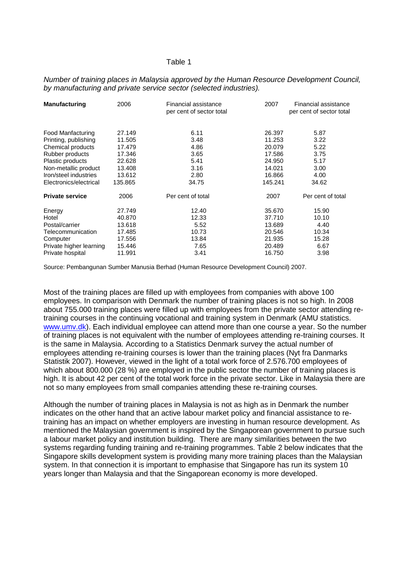#### Table 1

| <b>Manufacturing</b>    | 2006    | Financial assistance<br>per cent of sector total | 2007    | Financial assistance<br>per cent of sector total |
|-------------------------|---------|--------------------------------------------------|---------|--------------------------------------------------|
| Food Manfacturing       | 27.149  | 6.11                                             | 26.397  | 5.87                                             |
| Printing, publishing    | 11.505  | 3.48                                             | 11.253  | 3.22                                             |
| Chemical products       | 17.479  | 4.86                                             | 20.079  | 5.22                                             |
| Rubber products         | 17.346  | 3.65                                             | 17.586  | 3.75                                             |
| Plastic products        | 22.628  | 5.41                                             | 24.950  | 5.17                                             |
| Non-metallic product    | 13.408  | 3.16                                             | 14.021  | 3.00                                             |
| Iron/steel industries   | 13.612  | 2.80                                             | 16.866  | 4.00                                             |
| Electronics/electrical  | 135.865 | 34.75                                            | 145.241 | 34.62                                            |
| <b>Private service</b>  | 2006    | Per cent of total                                | 2007    | Per cent of total                                |
| Energy                  | 27.749  | 12.40                                            | 35,670  | 15.90                                            |
| Hotel                   | 40.870  | 12.33                                            | 37.710  | 10.10                                            |
| Postal/carrier          | 13.618  | 5.52                                             | 13.689  | 4.40                                             |
| Telecommunication       | 17.485  | 10.73                                            | 20.546  | 10.34                                            |
| Computer                | 17.556  | 13.84                                            | 21.935  | 15.28                                            |
| Private higher learning | 15.446  | 7.65                                             | 20.489  | 6.67                                             |
| Private hospital        | 11.991  | 3.41                                             | 16.750  | 3.98                                             |

### *Number of training places in Malaysia approved by the Human Resource Development Council, by manufacturing and private service sector (selected industries).*

Source: Pembangunan Sumber Manusia Berhad (Human Resource Development Council) 2007.

Most of the training places are filled up with employees from companies with above 100 employees. In comparison with Denmark the number of training places is not so high. In 2008 about 755.000 training places were filled up with employees from the private sector attending retraining courses in the continuing vocational and training system in Denmark (AMU statistics. [www.umv.dk\)](http://www.umv.dk/). Each individual employee can attend more than one course a year. So the number of training places is not equivalent with the number of employees attending re-training courses. It is the same in Malaysia. According to a Statistics Denmark survey the actual number of employees attending re-training courses is lower than the training places (Nyt fra Danmarks Statistik 2007). However, viewed in the light of a total work force of 2.576.700 employees of which about 800.000 (28 %) are employed in the public sector the number of training places is high. It is about 42 per cent of the total work force in the private sector. Like in Malaysia there are not so many employees from small companies attending these re-training courses.

Although the number of training places in Malaysia is not as high as in Denmark the number indicates on the other hand that an active labour market policy and financial assistance to retraining has an impact on whether employers are investing in human resource development. As mentioned the Malaysian government is inspired by the Singaporean government to pursue such a labour market policy and institution building. There are many similarities between the two systems regarding funding training and re-training programmes. Table 2 below indicates that the Singapore skills development system is providing many more training places than the Malaysian system. In that connection it is important to emphasise that Singapore has run its system 10 years longer than Malaysia and that the Singaporean economy is more developed.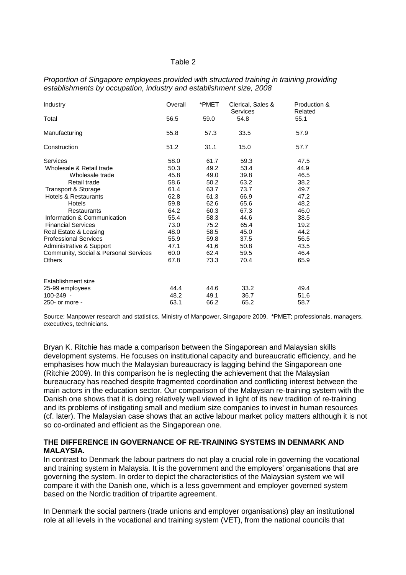#### Table 2

| Proportion of Singapore employees provided with structured training in training providing |
|-------------------------------------------------------------------------------------------|
| establishments by occupation, industry and establishment size, 2008                       |

| Industry                              | Overall<br>56.5 | *PMET<br>59.0 | Clerical, Sales &<br><b>Services</b> | Production &<br>Related<br>55.1 |
|---------------------------------------|-----------------|---------------|--------------------------------------|---------------------------------|
| Total                                 |                 |               | 54.8                                 |                                 |
| Manufacturing                         | 55.8            | 57.3          | 33.5                                 | 57.9                            |
| Construction                          | 51.2            | 31.1          | 15.0                                 | 57.7                            |
| Services                              | 58.0            | 61.7          | 59.3                                 | 47.5                            |
| Wholesale & Retail trade              | 50.3            | 49.2          | 53.4                                 | 44.9                            |
| Wholesale trade                       | 45.8            | 49.0          | 39.8                                 | 46.5                            |
| Retail trade                          | 58.6            | 50.2          | 63.2                                 | 38.2                            |
| Transport & Storage                   | 61.4            | 63.7          | 73.7                                 | 49.7                            |
| Hotels & Restaurants                  | 62.8            | 61.3          | 66.9                                 | 47.2                            |
| <b>Hotels</b>                         | 59.8            | 62.6          | 65.6                                 | 48.2                            |
| <b>Restaurants</b>                    | 64.2            | 60.3          | 67.3                                 | 46.0                            |
| Information & Communication           | 55.4            | 58.3          | 44.6                                 | 38.5                            |
| <b>Financial Services</b>             | 73.0            | 75.2          | 65.4                                 | 19.2                            |
| Real Estate & Leasing                 | 48.0            | 58.5          | 45.0                                 | 44.2                            |
| <b>Professional Services</b>          | 55.9            | 59.8          | 37.5                                 | 56.5                            |
| Administrative & Support              | 47.1            | 41,6          | 50.8                                 | 43.5                            |
| Community, Social & Personal Services | 60.0            | 62.4          | 59.5                                 | 46.4                            |
| <b>Others</b>                         | 67.8            | 73.3          | 70.4                                 | 65.9                            |
| Establishment size                    |                 |               |                                      |                                 |
| 25-99 employees                       | 44.4            | 44.6          | 33.2                                 | 49.4                            |
| $100 - 249 -$                         | 48.2            | 49.1          | 36.7                                 | 51.6                            |
| 250- or more -                        | 63.1            | 66.2          | 65.2                                 | 58.7                            |

Source: Manpower research and statistics, Ministry of Manpower, Singapore 2009. \*PMET; professionals, managers, executives, technicians.

Bryan K. Ritchie has made a comparison between the Singaporean and Malaysian skills development systems. He focuses on institutional capacity and bureaucratic efficiency, and he emphasises how much the Malaysian bureaucracy is lagging behind the Singaporean one (Ritchie 2009). In this comparison he is neglecting the achievement that the Malaysian bureaucracy has reached despite fragmented coordination and conflicting interest between the main actors in the education sector. Our comparison of the Malaysian re-training system with the Danish one shows that it is doing relatively well viewed in light of its new tradition of re-training and its problems of instigating small and medium size companies to invest in human resources (cf. later). The Malaysian case shows that an active labour market policy matters although it is not so co-ordinated and efficient as the Singaporean one.

### **THE DIFFERENCE IN GOVERNANCE OF RE-TRAINING SYSTEMS IN DENMARK AND MALAYSIA.**

In contrast to Denmark the labour partners do not play a crucial role in governing the vocational and training system in Malaysia. It is the government and the employers' organisations that are governing the system. In order to depict the characteristics of the Malaysian system we will compare it with the Danish one, which is a less government and employer governed system based on the Nordic tradition of tripartite agreement.

In Denmark the social partners (trade unions and employer organisations) play an institutional role at all levels in the vocational and training system (VET), from the national councils that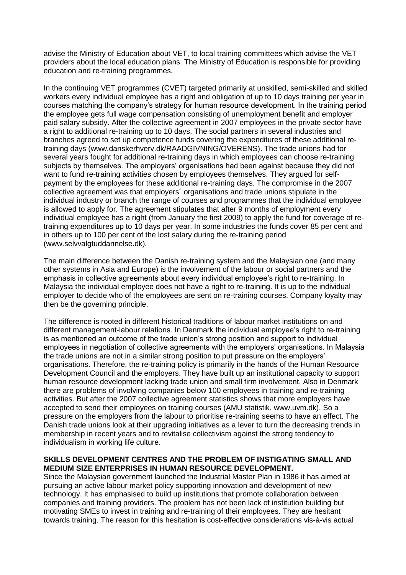advise the Ministry of Education about VET, to local training committees which advise the VET providers about the local education plans. The Ministry of Education is responsible for providing education and re-training programmes.

In the continuing VET programmes (CVET) targeted primarily at unskilled, semi-skilled and skilled workers every individual employee has a right and obligation of up to 10 days training per year in courses matching the company"s strategy for human resource development. In the training period the employee gets full wage compensation consisting of unemployment benefit and employer paid salary subsidy. After the collective agreement in 2007 employees in the private sector have a right to additional re-training up to 10 days. The social partners in several industries and branches agreed to set up competence funds covering the expenditures of these additional retraining days (www.danskerhverv.dk/RAADGIVNING/OVERENS). The trade unions had for several years fought for additional re-training days in which employees can choose re-training subjects by themselves. The employers" organisations had been against because they did not want to fund re-training activities chosen by employees themselves. They argued for selfpayment by the employees for these additional re-training days. The compromise in the 2007 collective agreement was that employers´ organisations and trade unions stipulate in the individual industry or branch the range of courses and programmes that the individual employee is allowed to apply for. The agreement stipulates that after 9 months of employment every individual employee has a right (from January the first 2009) to apply the fund for coverage of retraining expenditures up to 10 days per year. In some industries the funds cover 85 per cent and in others up to 100 per cent of the lost salary during the re-training period (www.selvvalgtuddannelse.dk).

The main difference between the Danish re-training system and the Malaysian one (and many other systems in Asia and Europe) is the involvement of the labour or social partners and the emphasis in collective agreements about every individual employee's right to re-training. In Malaysia the individual employee does not have a right to re-training. It is up to the individual employer to decide who of the employees are sent on re-training courses. Company loyalty may then be the governing principle.

The difference is rooted in different historical traditions of labour market institutions on and different management-labour relations. In Denmark the individual employee's right to re-training is as mentioned an outcome of the trade union's strong position and support to individual employees in negotiation of collective agreements with the employers' organisations. In Malaysia the trade unions are not in a similar strong position to put pressure on the employers" organisations. Therefore, the re-training policy is primarily in the hands of the Human Resource Development Council and the employers. They have built up an institutional capacity to support human resource development lacking trade union and small firm involvement. Also in Denmark there are problems of involving companies below 100 employees in training and re-training activities. But after the 2007 collective agreement statistics shows that more employers have accepted to send their employees on training courses (AMU statistik. www.uvm.dk). So a pressure on the employers from the labour to prioritise re-training seems to have an effect. The Danish trade unions look at their upgrading initiatives as a lever to turn the decreasing trends in membership in recent years and to revitalise collectivism against the strong tendency to individualism in working life culture.

## **SKILLS DEVELOPMENT CENTRES AND THE PROBLEM OF INSTIGATING SMALL AND MEDIUM SIZE ENTERPRISES IN HUMAN RESOURCE DEVELOPMENT.**

Since the Malaysian government launched the Industrial Master Plan in 1986 it has aimed at pursuing an active labour market policy supporting innovation and development of new technology. It has emphasised to build up institutions that promote collaboration between companies and training providers. The problem has not been lack of institution building but motivating SMEs to invest in training and re-training of their employees. They are hesitant towards training. The reason for this hesitation is cost-effective considerations vis-à-vis actual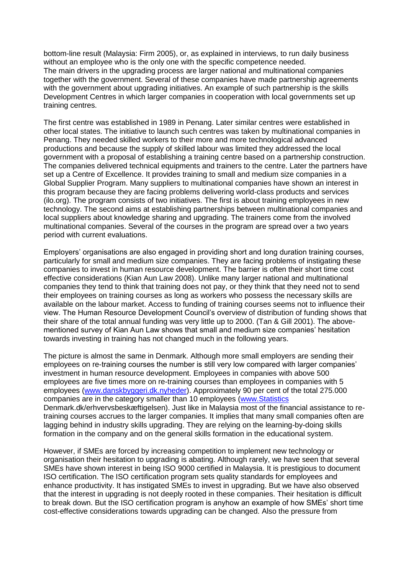bottom-line result (Malaysia: Firm 2005), or, as explained in interviews, to run daily business without an employee who is the only one with the specific competence needed. The main drivers in the upgrading process are larger national and multinational companies together with the government. Several of these companies have made partnership agreements with the government about upgrading initiatives. An example of such partnership is the skills Development Centres in which larger companies in cooperation with local governments set up training centres.

The first centre was established in 1989 in Penang. Later similar centres were established in other local states. The initiative to launch such centres was taken by multinational companies in Penang. They needed skilled workers to their more and more technological advanced productions and because the supply of skilled labour was limited they addressed the local government with a proposal of establishing a training centre based on a partnership construction. The companies delivered technical equipments and trainers to the centre. Later the partners have set up a Centre of Excellence. It provides training to small and medium size companies in a Global Supplier Program. Many suppliers to multinational companies have shown an interest in this program because they are facing problems delivering world-class products and services (ilo.org). The program consists of two initiatives. The first is about training employees in new technology. The second aims at establishing partnerships between multinational companies and local suppliers about knowledge sharing and upgrading. The trainers come from the involved multinational companies. Several of the courses in the program are spread over a two years period with current evaluations.

Employers" organisations are also engaged in providing short and long duration training courses, particularly for small and medium size companies. They are facing problems of instigating these companies to invest in human resource development. The barrier is often their short time cost effective considerations (Kian Aun Law 2008). Unlike many larger national and multinational companies they tend to think that training does not pay, or they think that they need not to send their employees on training courses as long as workers who possess the necessary skills are available on the labour market. Access to funding of training courses seems not to influence their view. The Human Resource Development Council"s overview of distribution of funding shows that their share of the total annual funding was very little up to 2000. (Tan & Gill 2001). The abovementioned survey of Kian Aun Law shows that small and medium size companies' hesitation towards investing in training has not changed much in the following years.

The picture is almost the same in Denmark. Although more small employers are sending their employees on re-training courses the number is still very low compared with larger companies" investment in human resource development. Employees in companies with above 500 employees are five times more on re-training courses than employees in companies with 5 employees [\(www.danskbyggeri.dk.nyheder\)](http://www.danskbyggeri.dk.nyheder/). Approximately 90 per cent of the total 275.000 companies are in the category smaller than 10 employees [\(www.Statistics](http://www.statistics/) Denmark.dk/erhvervsbeskæftigelsen). Just like in Malaysia most of the financial assistance to retraining courses accrues to the larger companies. It implies that many small companies often are lagging behind in industry skills upgrading. They are relying on the learning-by-doing skills formation in the company and on the general skills formation in the educational system.

However, if SMEs are forced by increasing competition to implement new technology or organisation their hesitation to upgrading is abating. Although rarely, we have seen that several SMEs have shown interest in being ISO 9000 certified in Malaysia. It is prestigious to document ISO certification. The ISO certification program sets quality standards for employees and enhance productivity. It has instigated SMEs to invest in upgrading. But we have also observed that the interest in upgrading is not deeply rooted in these companies. Their hesitation is difficult to break down. But the ISO certification program is anyhow an example of how SMEs" short time cost-effective considerations towards upgrading can be changed. Also the pressure from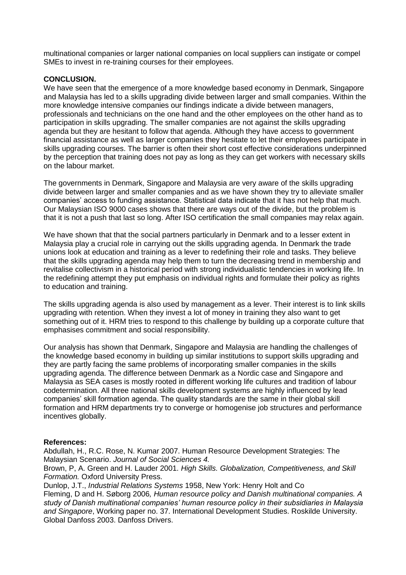multinational companies or larger national companies on local suppliers can instigate or compel SMEs to invest in re-training courses for their employees.

### **CONCLUSION.**

We have seen that the emergence of a more knowledge based economy in Denmark, Singapore and Malaysia has led to a skills upgrading divide between larger and small companies. Within the more knowledge intensive companies our findings indicate a divide between managers, professionals and technicians on the one hand and the other employees on the other hand as to participation in skills upgrading. The smaller companies are not against the skills upgrading agenda but they are hesitant to follow that agenda. Although they have access to government financial assistance as well as larger companies they hesitate to let their employees participate in skills upgrading courses. The barrier is often their short cost effective considerations underpinned by the perception that training does not pay as long as they can get workers with necessary skills on the labour market.

The governments in Denmark, Singapore and Malaysia are very aware of the skills upgrading divide between larger and smaller companies and as we have shown they try to alleviate smaller companies" access to funding assistance. Statistical data indicate that it has not help that much. Our Malaysian ISO 9000 cases shows that there are ways out of the divide, but the problem is that it is not a push that last so long. After ISO certification the small companies may relax again.

We have shown that that the social partners particularly in Denmark and to a lesser extent in Malaysia play a crucial role in carrying out the skills upgrading agenda. In Denmark the trade unions look at education and training as a lever to redefining their role and tasks. They believe that the skills upgrading agenda may help them to turn the decreasing trend in membership and revitalise collectivism in a historical period with strong individualistic tendencies in working life. In the redefining attempt they put emphasis on individual rights and formulate their policy as rights to education and training.

The skills upgrading agenda is also used by management as a lever. Their interest is to link skills upgrading with retention. When they invest a lot of money in training they also want to get something out of it. HRM tries to respond to this challenge by building up a corporate culture that emphasises commitment and social responsibility.

Our analysis has shown that Denmark, Singapore and Malaysia are handling the challenges of the knowledge based economy in building up similar institutions to support skills upgrading and they are partly facing the same problems of incorporating smaller companies in the skills upgrading agenda. The difference between Denmark as a Nordic case and Singapore and Malaysia as SEA cases is mostly rooted in different working life cultures and tradition of labour codetermination. All three national skills development systems are highly influenced by lead companies' skill formation agenda. The quality standards are the same in their global skill formation and HRM departments try to converge or homogenise job structures and performance incentives globally.

## **References:**

Abdullah, H., R.C. Rose, N. Kumar 2007. Human Resource Development Strategies: The Malaysian Scenario. *Journal of Social Sciences 4.*

Brown, P, A. Green and H. Lauder 2001. *High Skills. Globalization, Competitiveness, and Skill Formation.* Oxford University Press.

Dunlop, J.T., *Industrial Relations Systems* 1958, New York: Henry Holt and Co Fleming, D and H. Søborg 2006*, Human resource policy and Danish multinational companies. A study of Danish multinational companies' human resource policy in their subsidiaries in Malaysia and Singapore*, Working paper no. 37. International Development Studies. Roskilde University. Global Danfoss 2003. Danfoss Drivers.